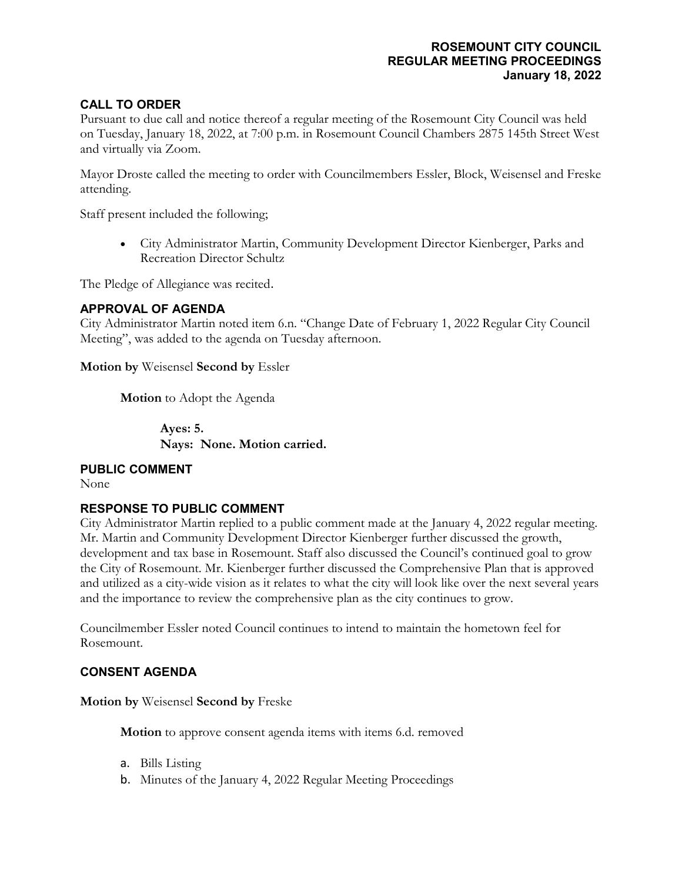# **ROSEMOUNT CITY COUNCIL REGULAR MEETING PROCEEDINGS January 18, 2022**

# **CALL TO ORDER**

Pursuant to due call and notice thereof a regular meeting of the Rosemount City Council was held on Tuesday, January 18, 2022, at 7:00 p.m. in Rosemount Council Chambers 2875 145th Street West and virtually via Zoom.

Mayor Droste called the meeting to order with Councilmembers Essler, Block, Weisensel and Freske attending.

Staff present included the following;

• City Administrator Martin, Community Development Director Kienberger, Parks and Recreation Director Schultz

The Pledge of Allegiance was recited.

## **APPROVAL OF AGENDA**

City Administrator Martin noted item 6.n. "Change Date of February 1, 2022 Regular City Council Meeting", was added to the agenda on Tuesday afternoon.

**Motion by** Weisensel **Second by** Essler

**Motion** to Adopt the Agenda

**Ayes: 5. Nays: None. Motion carried.**

#### **PUBLIC COMMENT**

None

## **RESPONSE TO PUBLIC COMMENT**

City Administrator Martin replied to a public comment made at the January 4, 2022 regular meeting. Mr. Martin and Community Development Director Kienberger further discussed the growth, development and tax base in Rosemount. Staff also discussed the Council's continued goal to grow the City of Rosemount. Mr. Kienberger further discussed the Comprehensive Plan that is approved and utilized as a city-wide vision as it relates to what the city will look like over the next several years and the importance to review the comprehensive plan as the city continues to grow.

Councilmember Essler noted Council continues to intend to maintain the hometown feel for Rosemount.

## **CONSENT AGENDA**

**Motion by** Weisensel **Second by** Freske

**Motion** to approve consent agenda items with items 6.d. removed

- a. [Bills Listing](http://rs-img.ci.rosemount.mn.us/weblink8/DocView.aspx?id=707473)
- b. [Minutes of the January 4, 2022 Regular Meeting Proceedings](http://rs-img.ci.rosemount.mn.us/weblink8/DocView.aspx?id=707474)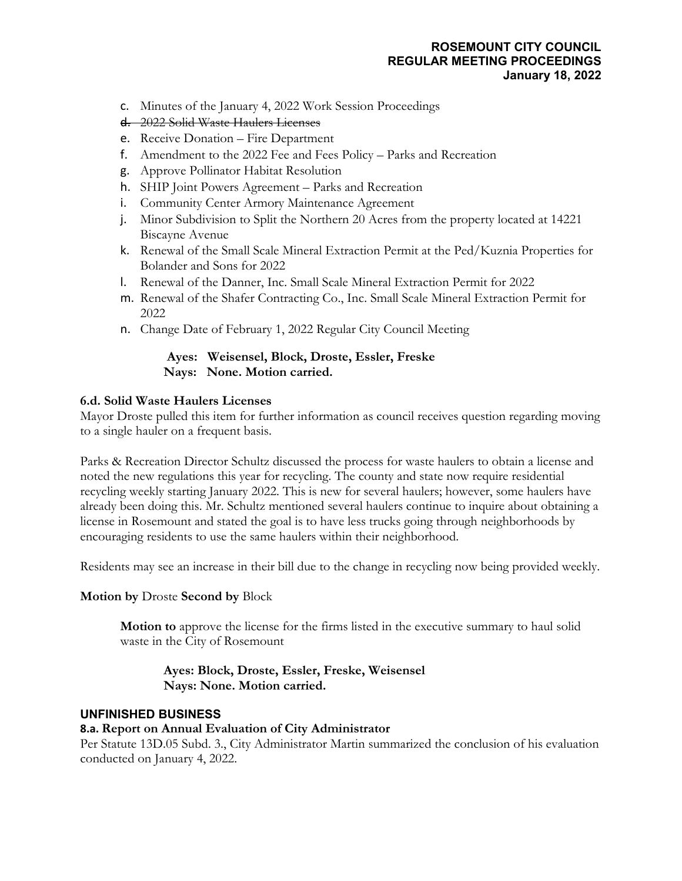# **ROSEMOUNT CITY COUNCIL REGULAR MEETING PROCEEDINGS January 18, 2022**

- c. [Minutes of the January 4, 2022 Work Session Proceedings](http://rs-img.ci.rosemount.mn.us/weblink8/DocView.aspx?id=707475)
- d. [2022 Solid Waste Haulers Licenses](http://rs-img.ci.rosemount.mn.us/weblink8/DocView.aspx?id=707476)
- e. [Receive Donation –](http://rs-img.ci.rosemount.mn.us/weblink8/DocView.aspx?id=707477) Fire Department
- f. [Amendment to the 2022 Fee and Fees Policy –](http://rs-img.ci.rosemount.mn.us/weblink8/DocView.aspx?id=707478) Parks and Recreation
- g. [Approve Pollinator Habitat Resolution](http://rs-img.ci.rosemount.mn.us/weblink8/DocView.aspx?id=707479)
- h. [SHIP Joint Powers Agreement –](http://rs-img.ci.rosemount.mn.us/weblink8/DocView.aspx?id=707480) Parks and Recreation
- i. [Community Center Armory Maintenance Agreement](http://rs-img.ci.rosemount.mn.us/weblink8/DocView.aspx?id=707481)
- j. [Minor Subdivision to Split the Northern 20 Acres from the property located at 14221](http://rs-img.ci.rosemount.mn.us/weblink8/DocView.aspx?id=707482)  [Biscayne Avenue](http://rs-img.ci.rosemount.mn.us/weblink8/DocView.aspx?id=707482)
- k. [Renewal of the Small Scale Mineral Extraction Permit at the Ped/Kuznia Properties for](http://rs-img.ci.rosemount.mn.us/weblink8/DocView.aspx?id=707483)  [Bolander and Sons for 2022](http://rs-img.ci.rosemount.mn.us/weblink8/DocView.aspx?id=707483)
- l. [Renewal of the Danner, Inc. Small Scale Mineral Extraction Permit for 2022](http://rs-img.ci.rosemount.mn.us/weblink8/DocView.aspx?id=707484)
- m. Renewal of the Shafer [Contracting Co., Inc. Small Scale Mineral Extraction Permit for](http://rs-img.ci.rosemount.mn.us/weblink8/DocView.aspx?id=707485)  [2022](http://rs-img.ci.rosemount.mn.us/weblink8/DocView.aspx?id=707485)
- n. [Change Date of February 1, 2022 Regular City Council Meeting](http://rs-img.ci.rosemount.mn.us/weblink8/DocView.aspx?id=707850)

## **Ayes: Weisensel, Block, Droste, Essler, Freske Nays: None. Motion carried.**

## **6.d. Solid Waste Haulers Licenses**

Mayor Droste pulled this item for further information as council receives question regarding moving to a single hauler on a frequent basis.

Parks & Recreation Director Schultz discussed the process for waste haulers to obtain a license and noted the new regulations this year for recycling. The county and state now require residential recycling weekly starting January 2022. This is new for several haulers; however, some haulers have already been doing this. Mr. Schultz mentioned several haulers continue to inquire about obtaining a license in Rosemount and stated the goal is to have less trucks going through neighborhoods by encouraging residents to use the same haulers within their neighborhood.

Residents may see an increase in their bill due to the change in recycling now being provided weekly.

## **Motion by** Droste **Second by** Block

**Motion to** approve the license for the firms listed in the executive summary to haul solid waste in the City of Rosemount

**Ayes: Block, Droste, Essler, Freske, Weisensel Nays: None. Motion carried.**

## **UNFINISHED BUSINESS**

## **8.a. Report on Annual Evaluation of City Administrator**

Per Statute 13D.05 Subd. 3., City Administrator Martin summarized the conclusion of his evaluation conducted on January 4, 2022.